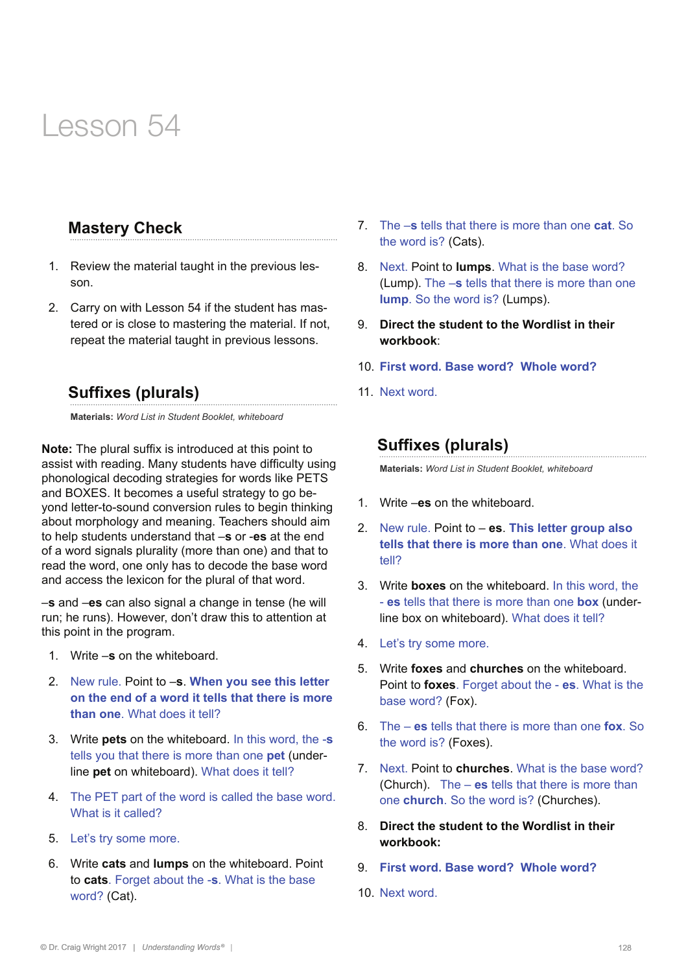#### **Mastery Check**

- 1. Review the material taught in the previous lesson.
- 2. Carry on with Lesson 54 if the student has mastered or is close to mastering the material. If not, repeat the material taught in previous lessons.

#### **Suffixes (plurals)**

**Materials:** *Word List in Student Booklet, whiteboard*

**Note:** The plural suffix is introduced at this point to assist with reading. Many students have difficulty using phonological decoding strategies for words like PETS and BOXES. It becomes a useful strategy to go beyond letter-to-sound conversion rules to begin thinking about morphology and meaning. Teachers should aim to help students understand that –**s** or -**es** at the end of a word signals plurality (more than one) and that to read the word, one only has to decode the base word and access the lexicon for the plural of that word.

–**s** and –**es** can also signal a change in tense (he will run; he runs). However, don't draw this to attention at this point in the program.

- 1. Write –**s** on the whiteboard.
- 2. New rule. Point to –**s**. **When you see this letter on the end of a word it tells that there is more than one**. What does it tell?
- 3. Write **pets** on the whiteboard. In this word, the -**s** tells you that there is more than one **pet** (underline **pet** on whiteboard). What does it tell?
- 4. The PET part of the word is called the base word. What is it called?
- 5. Let's try some more.
- 6. Write **cats** and **lumps** on the whiteboard. Point to **cats**. Forget about the -**s**. What is the base word? (Cat).
- 7. The –**s** tells that there is more than one **cat**. So the word is? (Cats).
- 8. Next. Point to **lumps**. What is the base word? (Lump). The –**s** tells that there is more than one **lump**. So the word is? (Lumps).
- 9. **Direct the student to the Wordlist in their workbook**:
- 10. **First word. Base word? Whole word?**
- 11. Next word.

#### **Suffixes (plurals)**

**Materials:** *Word List in Student Booklet, whiteboard*

- 1. Write –**es** on the whiteboard.
- 2. New rule. Point to **es**. **This letter group also tells that there is more than one**. What does it tell?
- 3. Write **boxes** on the whiteboard. In this word, the - **es** tells that there is more than one **box** (underline box on whiteboard). What does it tell?
- 4. Let's try some more.
- 5. Write **foxes** and **churches** on the whiteboard. Point to **foxes**. Forget about the - **es**. What is the base word? (Fox).
- 6. The **es** tells that there is more than one **fox**. So the word is? (Foxes).
- 7. Next. Point to **churches**. What is the base word? (Church). The – **es** tells that there is more than one **church**. So the word is? (Churches).
- 8. **Direct the student to the Wordlist in their workbook:**
- 9. **First word. Base word? Whole word?**
- 10. Next word.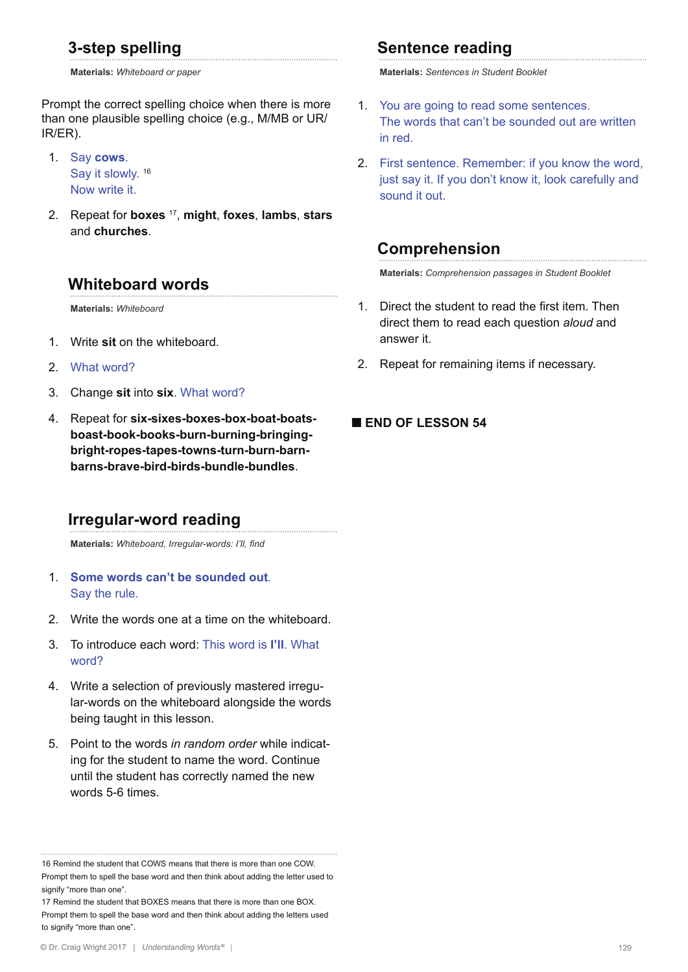#### **3-step spelling**

**Materials:** *Whiteboard or paper* 

Prompt the correct spelling choice when there is more than one plausible spelling choice (e.g., M/MB or UR/ IR/ER).

1. Say **cows**. Say it slowly.<sup>16</sup> Now write it.

2. Repeat for **boxes** 17, **might**, **foxes**, **lambs**, **stars** and **churches**.

#### **Whiteboard words**

**Materials:** *Whiteboard*

- 1. Write **sit** on the whiteboard.
- 2. What word?
- 3. Change **sit** into **six**. What word?
- 4. Repeat for **six-sixes-boxes-box-boat-boatsboast-book-books-burn-burning-bringingbright-ropes-tapes-towns-turn-burn-barnbarns-brave-bird-birds-bundle-bundles**.

### **Irregular-word reading**

**Materials:** *Whiteboard, Irregular-words: I'll, find*

- 1. **Some words can't be sounded out**. Say the rule.
- 2. Write the words one at a time on the whiteboard.
- 3. To introduce each word: This word is **I'll**. What word?
- 4. Write a selection of previously mastered irregular-words on the whiteboard alongside the words being taught in this lesson.
- 5. Point to the words *in random order* while indicating for the student to name the word. Continue until the student has correctly named the new words 5-6 times.

17 Remind the student that BOXES means that there is more than one BOX. Prompt them to spell the base word and then think about adding the letters used to signify "more than one".

### **Sentence reading**

**Materials:** *Sentences in Student Booklet*

- 1. You are going to read some sentences. The words that can't be sounded out are written in red.
- 2. First sentence. Remember: if you know the word, just say it. If you don't know it, look carefully and sound it out.

### **Comprehension**

**Materials:** *Comprehension passages in Student Booklet*

- 1. Direct the student to read the first item. Then direct them to read each question *aloud* and answer it.
- 2. Repeat for remaining items if necessary.

#### **■ END OF LESSON 54**

<sup>16</sup> Remind the student that COWS means that there is more than one COW. Prompt them to spell the base word and then think about adding the letter used to signify "more than one".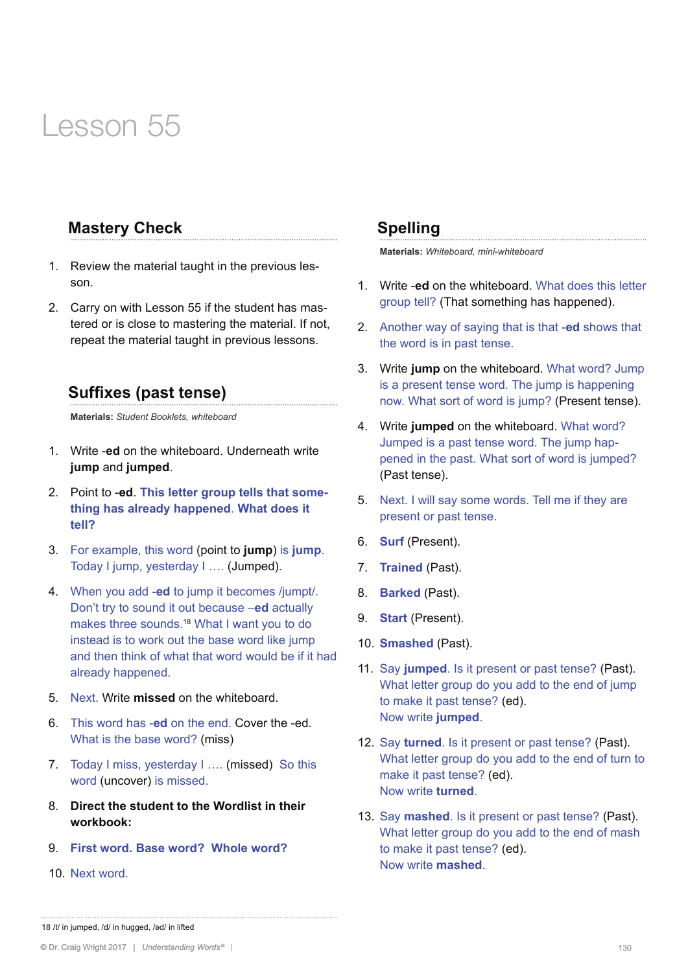#### **Mastery Check**

- 1. Review the material taught in the previous lesson.
- 2. Carry on with Lesson 55 if the student has mastered or is close to mastering the material. If not, repeat the material taught in previous lessons.

#### **Suffixes (past tense)**

**Materials:** *Student Booklets, whiteboard* 

- 1. Write -**ed** on the whiteboard. Underneath write **jump** and **jumped**.
- 2. Point to -**ed**. **This letter group tells that something has already happened**. **What does it tell?**
- 3. For example, this word (point to **jump**) is **jump**. Today I jump, yesterday I …. (Jumped).
- 4. When you add -**ed** to jump it becomes /jumpt/. Don't try to sound it out because –**ed** actually makes three sounds.<sup>18</sup> What I want you to do instead is to work out the base word like jump and then think of what that word would be if it had already happened.
- 5. Next. Write **missed** on the whiteboard.
- 6. This word has -**ed** on the end. Cover the -ed. What is the base word? (miss)
- 7. Today I miss, yesterday I …. (missed) So this word (uncover) is missed.
- 8. **Direct the student to the Wordlist in their workbook:**
- 9. **First word. Base word? Whole word?**
- 10. Next word.

#### **Spelling**

**Materials:** *Whiteboard, mini-whiteboard*

- 1. Write -**ed** on the whiteboard. What does this letter group tell? (That something has happened).
- 2. Another way of saying that is that -**ed** shows that the word is in past tense.
- 3. Write **jump** on the whiteboard. What word? Jump is a present tense word. The jump is happening now. What sort of word is jump? (Present tense).
- 4. Write **jumped** on the whiteboard. What word? Jumped is a past tense word. The jump happened in the past. What sort of word is jumped? (Past tense).
- 5. Next. I will say some words. Tell me if they are present or past tense.
- 6. **Surf** (Present).
- 7. **Trained** (Past).
- 8. **Barked** (Past).
- 9. **Start** (Present).
- 10. **Smashed** (Past).
- 11. Say **jumped**. Is it present or past tense? (Past). What letter group do you add to the end of jump to make it past tense? (ed). Now write **jumped**.
- 12. Say **turned**. Is it present or past tense? (Past). What letter group do you add to the end of turn to make it past tense? (ed). Now write **turned**.
- 13. Say **mashed**. Is it present or past tense? (Past). What letter group do you add to the end of mash to make it past tense? (ed). Now write **mashed**.

<sup>18</sup> /t/ in jumped, /d/ in hugged, /əd/ in lifted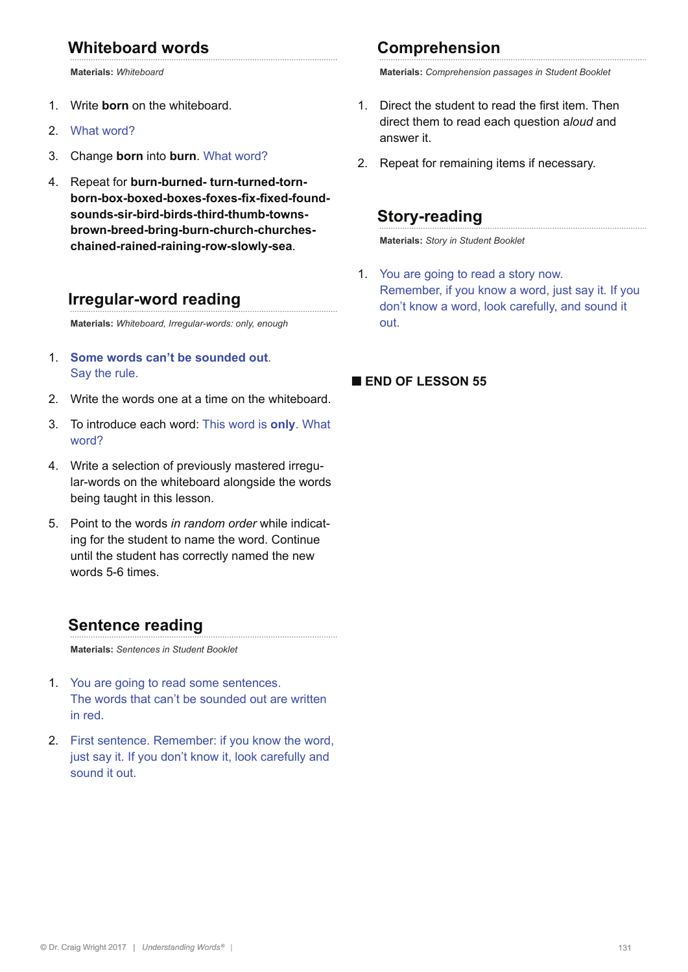### **Whiteboard words**

**Materials:** *Whiteboard*

- 1. Write **born** on the whiteboard.
- 2. What word?
- 3. Change **born** into **burn**. What word?
- 4. Repeat for **burn-burned- turn-turned-tornborn-box-boxed-boxes-foxes-fix-fixed-foundsounds-sir-bird-birds-third-thumb-townsbrown-breed-bring-burn-church-churcheschained-rained-raining-row-slowly-sea**.

#### **Irregular-word reading**

**Materials:** *Whiteboard, Irregular-words: only, enough*

- 1. **Some words can't be sounded out**. Say the rule.
- 2. Write the words one at a time on the whiteboard.
- 3. To introduce each word: This word is **only**. What word?
- 4. Write a selection of previously mastered irregular-words on the whiteboard alongside the words being taught in this lesson.
- 5. Point to the words *in random order* while indicating for the student to name the word. Continue until the student has correctly named the new words 5-6 times.

#### **Sentence reading**

**Materials:** *Sentences in Student Booklet*

- 1. You are going to read some sentences. The words that can't be sounded out are written in red.
- 2. First sentence. Remember: if you know the word, just say it. If you don't know it, look carefully and sound it out.

### **Comprehension**

**Materials:** *Comprehension passages in Student Booklet*

- 1. Direct the student to read the first item. Then direct them to read each question a*loud* and answer it.
- 2. Repeat for remaining items if necessary.

#### **Story-reading**

**Materials:** *Story in Student Booklet*

1. You are going to read a story now. Remember, if you know a word, just say it. If you don't know a word, look carefully, and sound it out.

#### **■ END OF LESSON 55**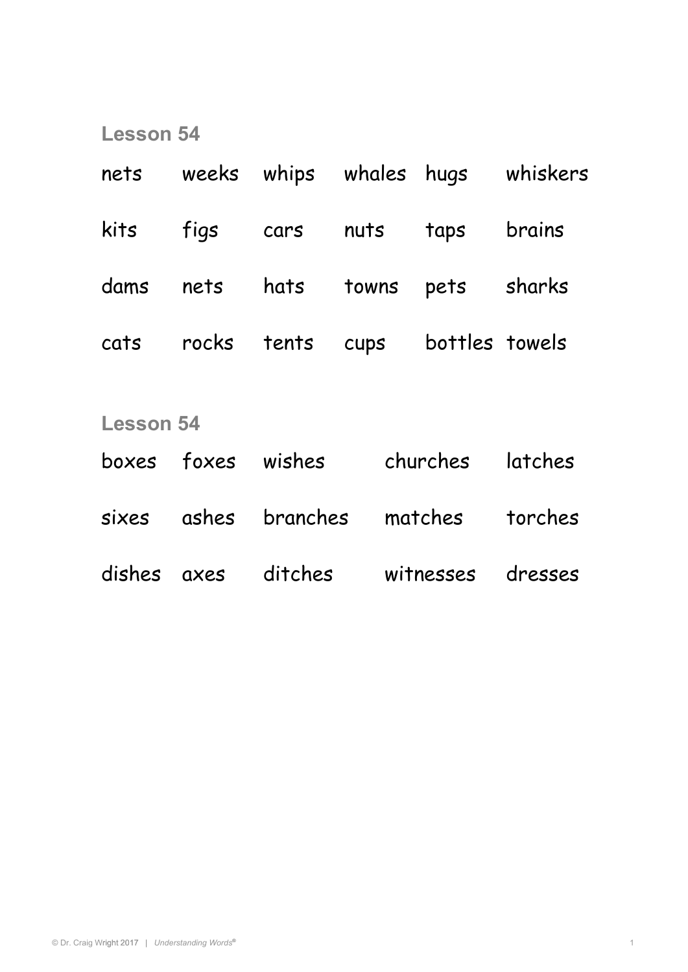| nets             |       | weeks whips whales hugs |       |                | whiskers |
|------------------|-------|-------------------------|-------|----------------|----------|
| kits             | figs  | cars                    | nuts  | taps           | brains   |
| dams             | nets  | hats                    | towns | pets           | sharks   |
| cats             | rocks | tents                   | cups  | bottles towels |          |
| <b>Lesson 54</b> |       |                         |       |                |          |
| boxes foxes      |       | wishes                  |       | churches       | latches  |
| sixes            | ashes | branches                |       | matches        | torches  |
| dishes           | axes  | ditches                 |       | witnesses      | dresses  |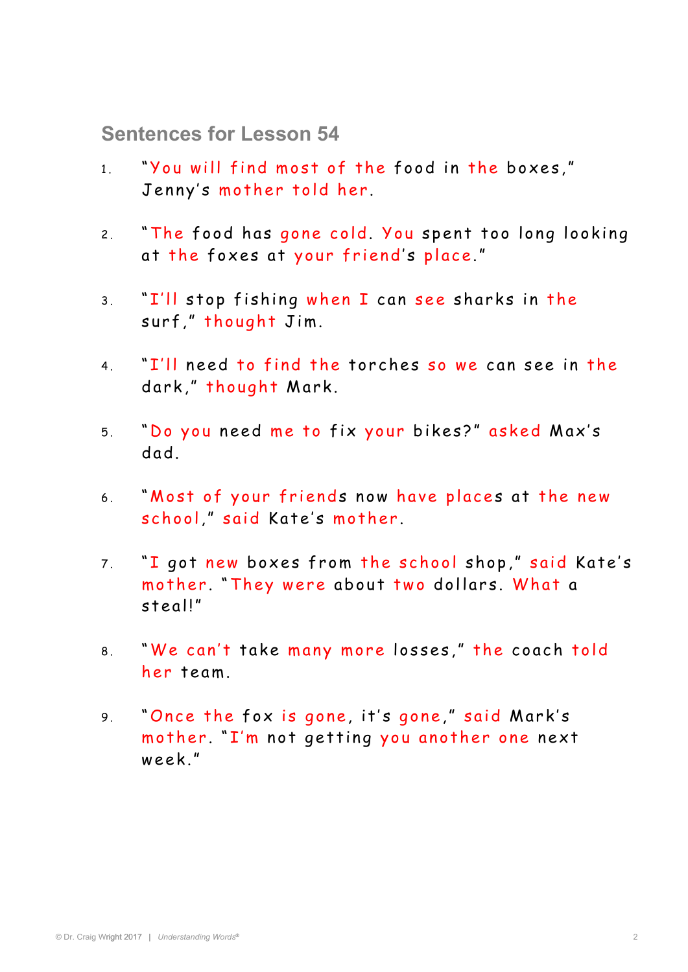**Sentences for Lesson 54** 

- 1. "You will find most of the food in the boxes," Jenny's mother told her.
- 2. "The food has gone cold. You spent too long looking at the foxes at your friend's place."
- 3. "I'll stop fishing when I can see sharks in the surf." thought Jim.
- 4. "I'll need to find the torches so we can see in the dark," thought Mark.
- 5. "Do you need me to fix your bikes?" asked Max's d ad.
- 6. "Most of your friends now have places at the new school," said Kate's mother.
- 7. "I got new boxes from the school shop," said Kate's mother. "They were about two dollars. What a s teal!"
- 8. "We can't take many more losses," the coach told her team.
- 9. "Once the fox is gone, it's gone," said Mark's mother. "I'm not getting you another one next week."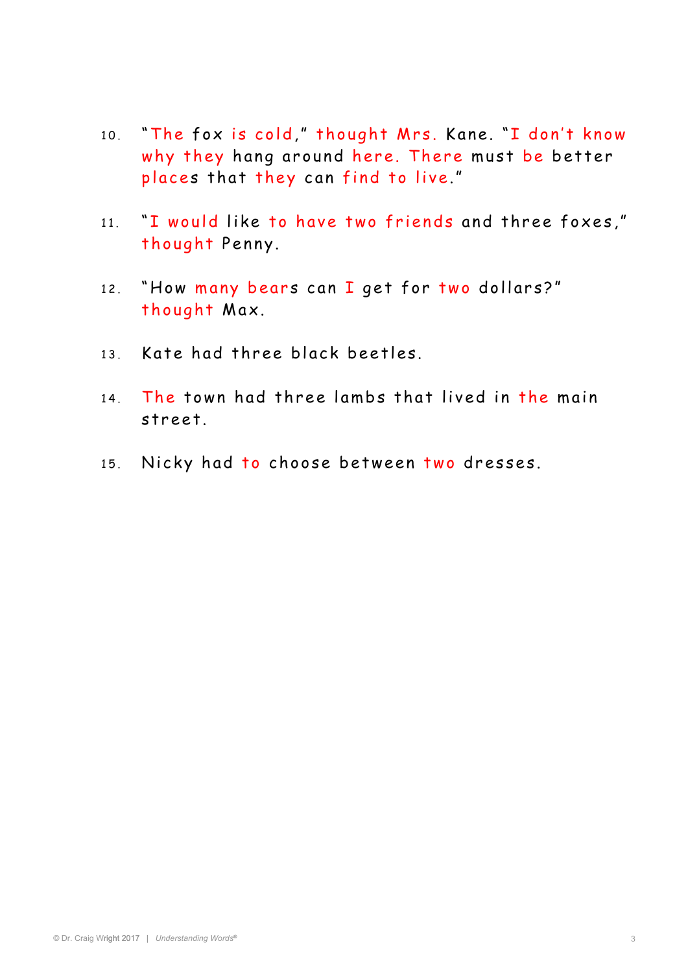- 10. "The fox is cold," thought Mrs. Kane. "I don't know why they hang around here. There must be better places that they can find to live."
- 11. "I would like to have two friends and three foxes," thought Penny.
- 12. "How many bears can I get for two dollars?" thought Max.
- 13 Kate had three black beetles
- 14. The town had three lambs that lived in the main street.
- 15. Nicky had to choose between two dresses.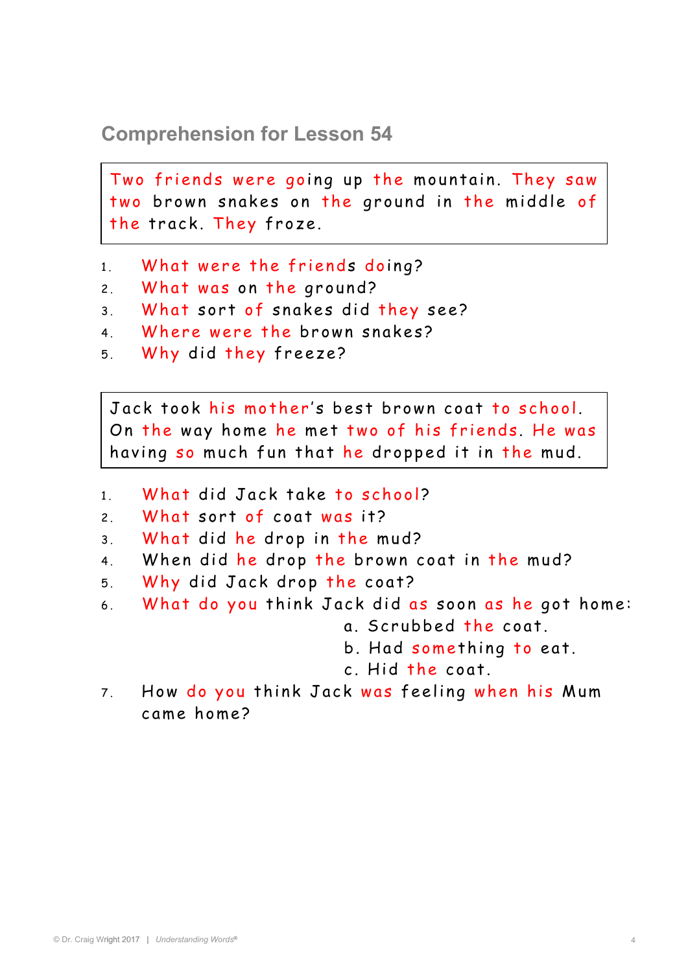## **Comprehension for Lesson 54**

two brown snakes on the ground in the middle of Two friends were going up the mountain. They saw the track. They froze.

- 1. What were the friends doing?
- 2. What was on the ground?
- 3. What sort of snakes did they see?
- 4. Where were the brown snakes?
- 5. Why did they freeze?

On the way home he met two of his friends. He was Jack took his mother's best brown coat to school. having so much fun that he dropped it in the mud.

- 1 What did Jack take to school?
- 2 . What sort of coat was it?
- 3 . What did he drop in the mud?
- 4. When did he drop the brown coat in the mud?
- 5 . Why did Jack drop the coat?
- 6. What do you think Jack did as soon as he got home:
	- a. Scrubbed the coat.
	- b. Had something to eat.
	- $c$  Hid the coat.
- 7. How do you think Jack was feeling when his Mum c ame ho me?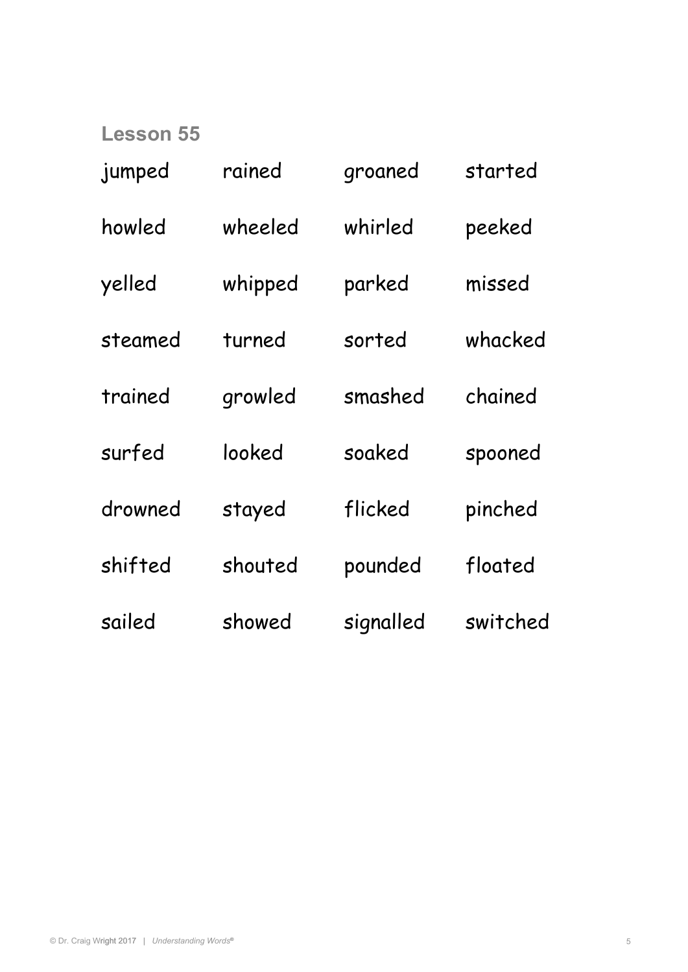| jumped  | rained  | groaned   | started  |
|---------|---------|-----------|----------|
| howled  | wheeled | whirled   | peeked   |
| yelled  | whipped | parked    | missed   |
| steamed | turned  | sorted    | whacked  |
| trained | growled | smashed   | chained  |
| surfed  | looked  | soaked    | spooned  |
| drowned | stayed  | flicked   | pinched  |
| shifted | shouted | pounded   | floated  |
| sailed  | showed  | signalled | switched |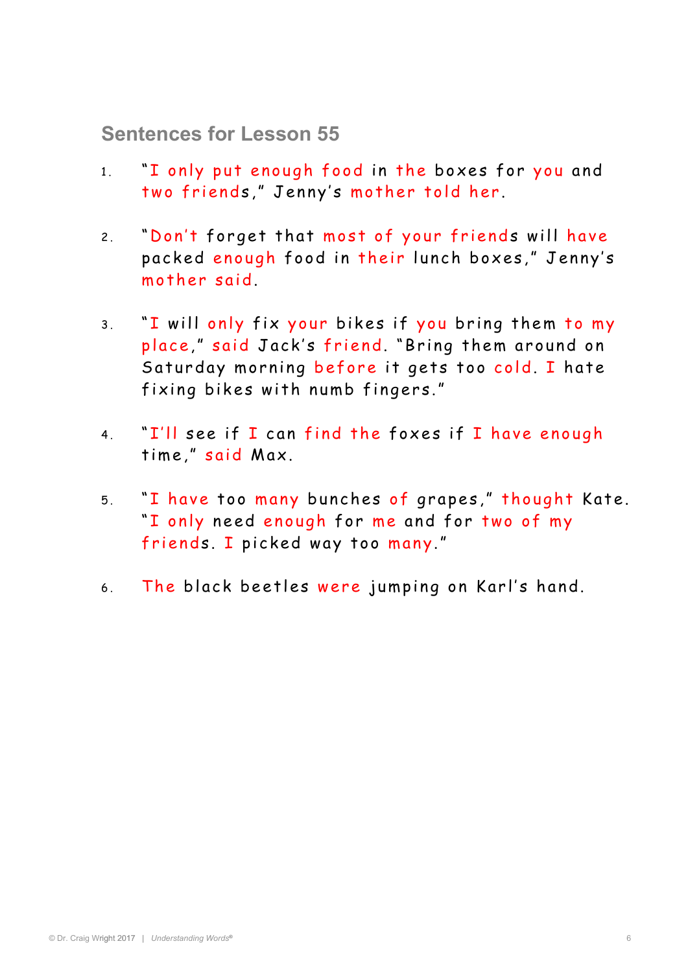**Sentences for Lesson 55** 

- 1. "I only put enough food in the boxes for you and two friends," Jenny's mother told her.
- 2. "Don't forget that most of your friends will have packed enough food in their lunch boxes," Jenny's mother said.
- 3. "I will only fix your bikes if you bring them to my place," said Jack's friend. "Bring them around on Saturday morning before it gets too cold. I hate fixing bikes with numb fingers."
- 4. "I'll see if I can find the foxes if I have enough time," said Max.
- 5. "I have too many bunches of grapes," thought Kate. "I only need enough for me and for two of my friends. I picked way too many."
- 6. The black beetles were jumping on Karl's hand.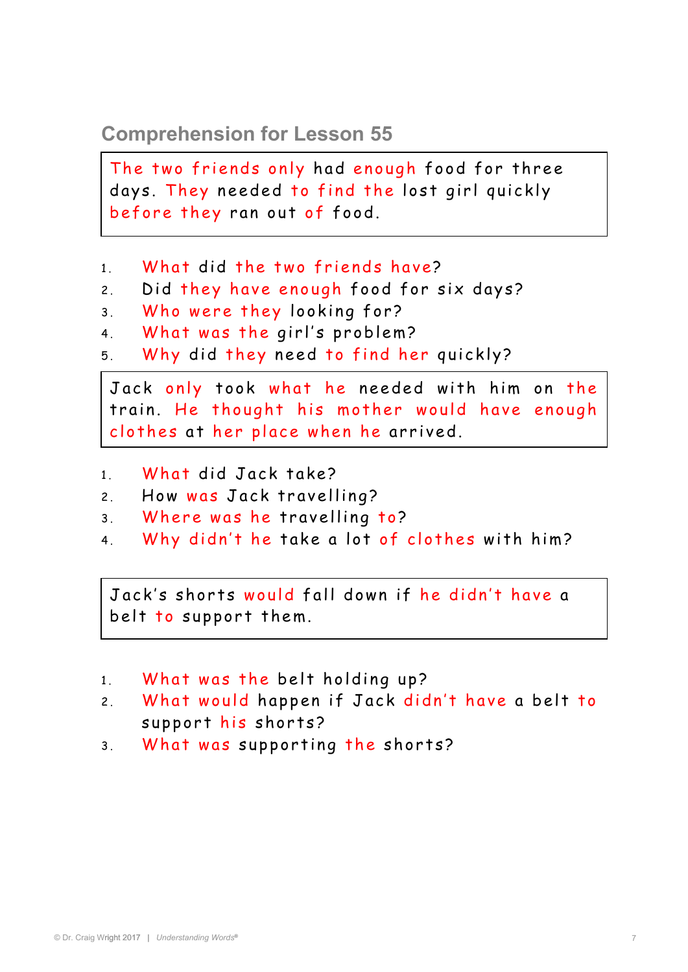# **Comprehension for Lesson 55**

days. They needed to find the lost girl quickly The two friends only had enough food for three before they ran out of food.

- 1. What did the two friends have?
- 2. Did they have enough food for six days?
- 3. Who were they looking for?
- 4. What was the girl's problem?
- 5 . Why did they need to find her quickly?

train. He thought his mother would have enough Jack only took what he needed with him on the clothes at her place when he arrived.

- 1. What did Jack take?
- 2. How was Jack travelling?
- 3. Where was he travelling to?
- 4. Why didn't he take a lot of clothes with him?

.<br>belt to support them. Jack's shorts would fall down if he didn't have a

- 1. What was the belt holding up?
- 2. What would happen if Jack didn't have a belt to support his shorts?
- 3. What was supporting the shorts?